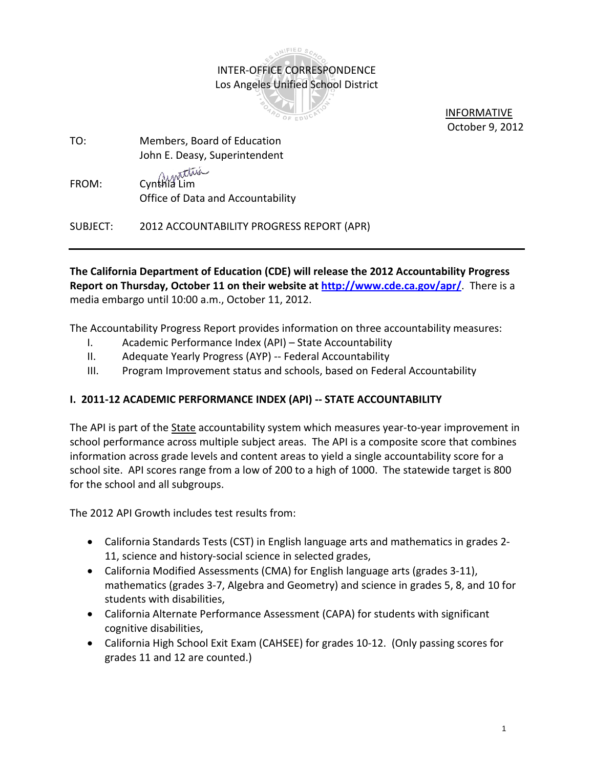# INTER-OFFICE CORRESPONDENCE Los Angeles Unified School District

INIFIED SC



 INFORMATIVE October 9, 2012

- TO: Members, Board of Education John E. Deasy, Superintendent
- FROM: Cynthia Lim Office of Data and Accountability

SUBJECT: 2012 ACCOUNTABILITY PROGRESS REPORT (APR)

**The California Department of Education (CDE) will release the 2012 Accountability Progress Report on Thursday, October 11 on their website at<http://www.cde.ca.gov/apr/>**. There is a media embargo until 10:00 a.m., October 11, 2012.

The Accountability Progress Report provides information on three accountability measures:

- I. Academic Performance Index (API) State Accountability
- II. Adequate Yearly Progress (AYP) -- Federal Accountability
- III. Program Improvement status and schools, based on Federal Accountability

## **I. 2011-12 ACADEMIC PERFORMANCE INDEX (API) -- STATE ACCOUNTABILITY**

The API is part of the State accountability system which measures year-to-year improvement in school performance across multiple subject areas. The API is a composite score that combines information across grade levels and content areas to yield a single accountability score for a school site. API scores range from a low of 200 to a high of 1000. The statewide target is 800 for the school and all subgroups.

The 2012 API Growth includes test results from:

- California Standards Tests (CST) in English language arts and mathematics in grades 2- 11, science and history-social science in selected grades,
- California Modified Assessments (CMA) for English language arts (grades 3-11), mathematics (grades 3-7, Algebra and Geometry) and science in grades 5, 8, and 10 for students with disabilities,
- California Alternate Performance Assessment (CAPA) for students with significant cognitive disabilities,
- California High School Exit Exam (CAHSEE) for grades 10-12. (Only passing scores for grades 11 and 12 are counted.)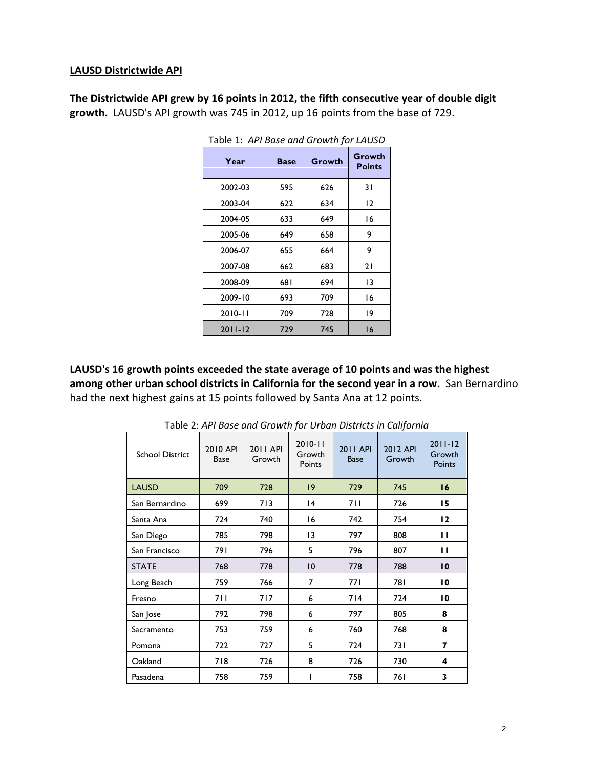#### **LAUSD Districtwide API**

**The Districtwide API grew by 16 points in 2012, the fifth consecutive year of double digit growth.** LAUSD's API growth was 745 in 2012, up 16 points from the base of 729.

| 1001 - 1. ATT DUSC 0110 OTOWER TOF LAOSD |             |        |                         |  |  |  |  |
|------------------------------------------|-------------|--------|-------------------------|--|--|--|--|
| Year                                     | <b>Base</b> | Growth | Growth<br><b>Points</b> |  |  |  |  |
| 2002-03                                  | 595         | 626    | 31                      |  |  |  |  |
| 2003-04                                  | 622         | 634    | $\overline{2}$          |  |  |  |  |
| 2004-05                                  | 633         | 649    | 16                      |  |  |  |  |
| 2005-06                                  | 649         | 658    | 9                       |  |  |  |  |
| 2006-07                                  | 655         | 664    | 9                       |  |  |  |  |
| 2007-08                                  | 662         | 683    | 21                      |  |  |  |  |
| 2008-09                                  | 681         | 694    | 13                      |  |  |  |  |
| 2009-10                                  | 693         | 709    | 16                      |  |  |  |  |
| $2010 - 11$                              | 709         | 728    | 19                      |  |  |  |  |
| $2011 - 12$                              | 729         | 745    | 16                      |  |  |  |  |

Table 1: *API Base and Growth for LAUSD*

**LAUSD's 16 growth points exceeded the state average of 10 points and was the highest among other urban school districts in California for the second year in a row.** San Bernardino had the next highest gains at 15 points followed by Santa Ana at 12 points.

| <b>School District</b> | 2010 API<br>Base | 2011 API<br>Growth | $2010 - 11$<br>Growth<br>Points | <b>2011 API</b><br><b>Base</b> | 2012 API<br>Growth | $2011 - 12$<br>Growth<br>Points |
|------------------------|------------------|--------------------|---------------------------------|--------------------------------|--------------------|---------------------------------|
| <b>LAUSD</b>           | 709              | 728                | $ 9\rangle$                     | 729                            | 745                | 16                              |
| San Bernardino         | 699              | 713                | 4                               | 7 I I                          | 726                | 15                              |
| Santa Ana              | 724              | 740                | 16                              | 742                            | 754                | 12                              |
| San Diego              | 785              | 798                | 13                              | 797                            | 808                | П                               |
| San Francisco          | 791              | 796                | 5                               | 796                            | 807                | п                               |
| <b>STATE</b>           | 768              | 778                | 10                              | 778                            | 788                | 10                              |
| Long Beach             | 759              | 766                | 7                               | 771                            | 781                | $\overline{10}$                 |
| Fresno                 | 711              | 717                | 6                               | 714                            | 724                | $\overline{10}$                 |
| San Jose               | 792              | 798                | 6                               | 797                            | 805                | 8                               |
| Sacramento             | 753              | 759                | 6                               | 760                            | 768                | 8                               |
| Pomona                 | 722              | 727                | 5                               | 724                            | 731                | 7                               |
| Oakland                | 718              | 726                | 8                               | 726                            | 730                | 4                               |
| Pasadena               | 758              | 759                |                                 | 758                            | 761                | 3                               |

Table 2: *API Base and Growth for Urban Districts in California*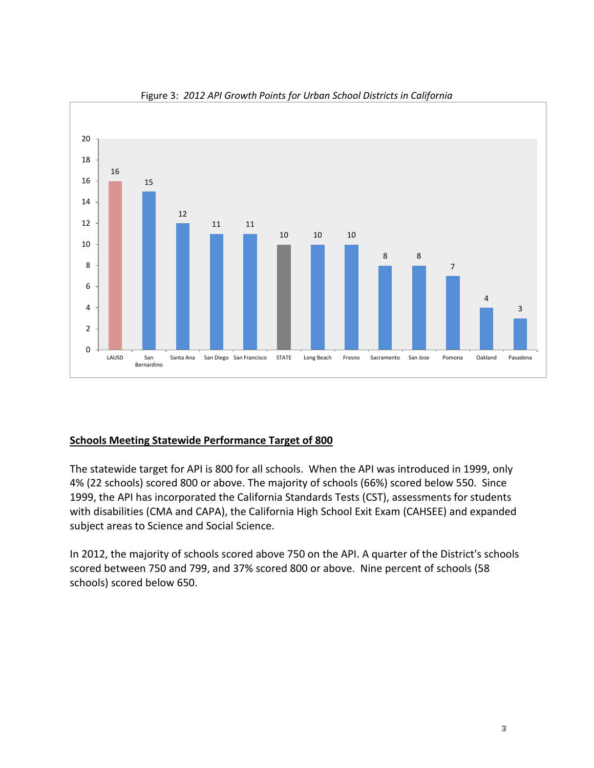

Figure 3: *2012 API Growth Points for Urban School Districts in California*

## **Schools Meeting Statewide Performance Target of 800**

The statewide target for API is 800 for all schools. When the API was introduced in 1999, only 4% (22 schools) scored 800 or above. The majority of schools (66%) scored below 550. Since 1999, the API has incorporated the California Standards Tests (CST), assessments for students with disabilities (CMA and CAPA), the California High School Exit Exam (CAHSEE) and expanded subject areas to Science and Social Science.

In 2012, the majority of schools scored above 750 on the API. A quarter of the District's schools scored between 750 and 799, and 37% scored 800 or above. Nine percent of schools (58 schools) scored below 650.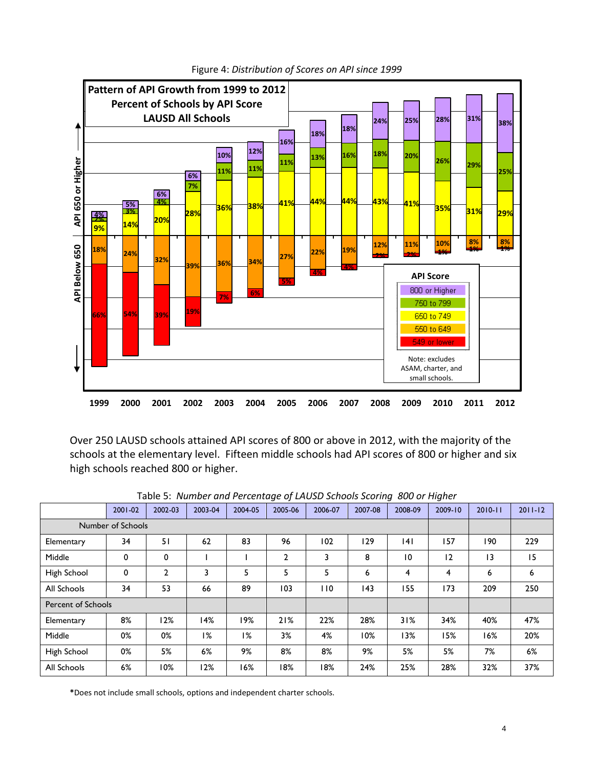

Figure 4: *Distribution of Scores on API since 1999*

Over 250 LAUSD schools attained API scores of 800 or above in 2012, with the majority of the schools at the elementary level. Fifteen middle schools had API scores of 800 or higher and six high schools reached 800 or higher.

|                           | 2001-02           | 2002-03 | 2003-04 | 2004-05 | 2005-06        | 2006-07 | 2007-08 | 2008-09        | 2009-10 | $2010 - 11$ | $2011 - 12$ |
|---------------------------|-------------------|---------|---------|---------|----------------|---------|---------|----------------|---------|-------------|-------------|
|                           | Number of Schools |         |         |         |                |         |         |                |         |             |             |
| Elementary                | 34                | 51      | 62      | 83      | 96             | 102     | 129     | 4              | 157     | 190         | 229         |
| Middle                    | 0                 | 0       |         |         | $\overline{2}$ | 3       | 8       | $\overline{0}$ | 12      | 13          | 15          |
| High School               | 0                 | 2       | 3       | 5       | 5              | 5       | 6       | 4              | 4       | 6           | 6           |
| All Schools               | 34                | 53      | 66      | 89      | 103            | 110     | 43      | 155            | 173     | 209         | 250         |
| <b>Percent of Schools</b> |                   |         |         |         |                |         |         |                |         |             |             |
| Elementary                | 8%                | 12%     | 14%     | 19%     | 21%            | 22%     | 28%     | 31%            | 34%     | 40%         | 47%         |
| Middle                    | 0%                | 0%      | 1%      | 1%      | 3%             | 4%      | 10%     | 13%            | 15%     | 16%         | 20%         |
| High School               | 0%                | 5%      | 6%      | 9%      | 8%             | 8%      | 9%      | 5%             | 5%      | 7%          | 6%          |
| All Schools               | 6%                | 10%     | 12%     | 16%     | 18%            | 18%     | 24%     | 25%            | 28%     | 32%         | 37%         |

Table 5: *Number and Percentage of LAUSD Schools Scoring 800 or Higher*

**\***Does not include small schools, options and independent charter schools.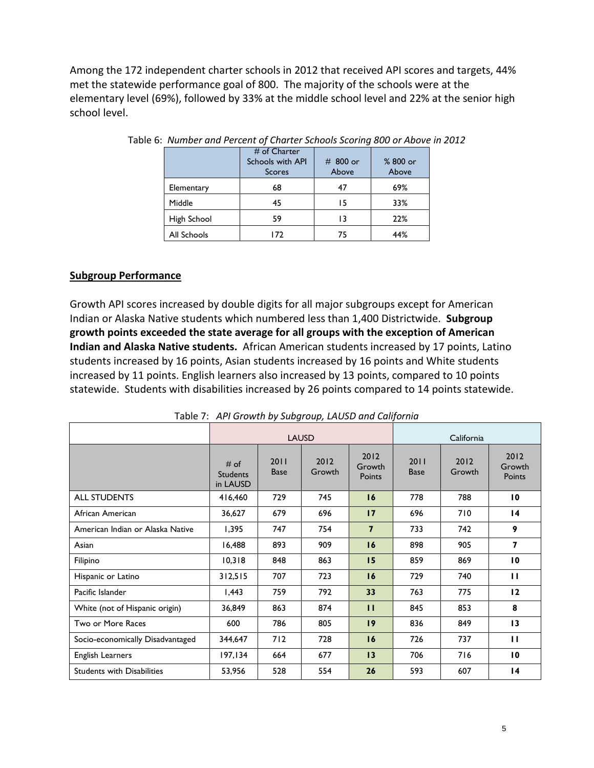Among the 172 independent charter schools in 2012 that received API scores and targets, 44% met the statewide performance goal of 800. The majority of the schools were at the elementary level (69%), followed by 33% at the middle school level and 22% at the senior high school level.

|             | # of Charter<br><b>Schools with API</b><br><b>Scores</b> | $# 800$ or<br>Above | % 800 or<br>Above |
|-------------|----------------------------------------------------------|---------------------|-------------------|
| Elementary  | 68                                                       | 47                  | 69%               |
| Middle      | 45                                                       | 15                  | 33%               |
| High School | 59                                                       | 13                  | 22%               |
| All Schools | 172                                                      | 75                  | 44%               |

#### **Subgroup Performance**

Growth API scores increased by double digits for all major subgroups except for American Indian or Alaska Native students which numbered less than 1,400 Districtwide. **Subgroup growth points exceeded the state average for all groups with the exception of American Indian and Alaska Native students.** African American students increased by 17 points, Latino students increased by 16 points, Asian students increased by 16 points and White students increased by 11 points. English learners also increased by 13 points, compared to 10 points statewide. Students with disabilities increased by 26 points compared to 14 points statewide.

|                                   |                                     |                     | <b>LAUSD</b>   | California               |                     |                |                          |  |  |
|-----------------------------------|-------------------------------------|---------------------|----------------|--------------------------|---------------------|----------------|--------------------------|--|--|
|                                   | # of<br><b>Students</b><br>in LAUSD | 2011<br><b>Base</b> | 2012<br>Growth | 2012<br>Growth<br>Points | 2011<br><b>Base</b> | 2012<br>Growth | 2012<br>Growth<br>Points |  |  |
| <b>ALL STUDENTS</b>               | 416,460                             | 729                 | 745            | 16                       | 778                 | 788            | $\overline{10}$          |  |  |
| African American                  | 36,627                              | 679                 | 696            | 17                       | 696                 | 710            | $\overline{14}$          |  |  |
| American Indian or Alaska Native  | 1,395                               | 747                 | 754            | $\overline{7}$           | 733                 | 742            | 9                        |  |  |
| Asian                             | 16,488                              | 893                 | 909            | 16                       | 898                 | 905            | 7                        |  |  |
| Filipino                          | 10,318                              | 848                 | 863            | 15                       | 859                 | 869            | $\overline{10}$          |  |  |
| Hispanic or Latino                | 312,515                             | 707                 | 723            | 16                       | 729                 | 740            | п                        |  |  |
| Pacific Islander                  | 1,443                               | 759                 | 792            | 33                       | 763                 | 775            | 12                       |  |  |
| White (not of Hispanic origin)    | 36,849                              | 863                 | 874            | $\mathbf{H}$             | 845                 | 853            | 8                        |  |  |
| Two or More Races                 | 600                                 | 786                 | 805            | 19                       | 836                 | 849            | 13                       |  |  |
| Socio-economically Disadvantaged  | 344,647                             | 712                 | 728            | 16                       | 726                 | 737            | п                        |  |  |
| English Learners                  | 197,134                             | 664                 | 677            | 13                       | 706                 | 716            | $\overline{10}$          |  |  |
| <b>Students with Disabilities</b> | 53,956                              | 528                 | 554            | 26                       | 593                 | 607            | 14                       |  |  |

Table 7: *API Growth by Subgroup, LAUSD and California*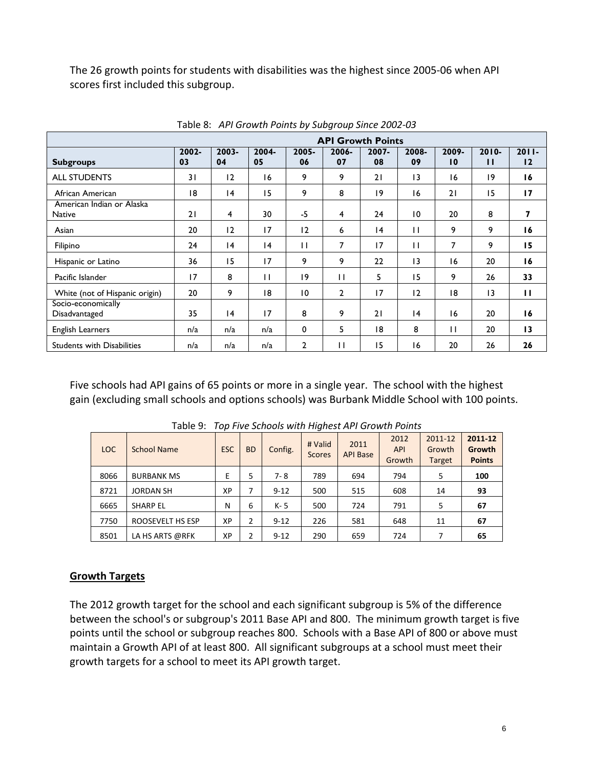The 26 growth points for students with disabilities was the highest since 2005-06 when API scores first included this subgroup.

|                                            | <b>API Growth Points</b> |                |             |                 |             |                |                 |                          |                 |                |
|--------------------------------------------|--------------------------|----------------|-------------|-----------------|-------------|----------------|-----------------|--------------------------|-----------------|----------------|
| <b>Subgroups</b>                           | $2002 -$<br>03           | $2003 -$<br>04 | 2004-<br>05 | $2005 -$<br>06  | 2006-<br>07 | $2007 -$<br>08 | 2008-<br>09     | 2009-<br>$\overline{10}$ | $2010 -$<br>п   | $2011 -$<br>12 |
| <b>ALL STUDENTS</b>                        | 31                       | 12             | 16          | 9               | 9           | 21             | 13              | 16                       | 19              | 16             |
| African American                           | 18                       | 4              | 15          | 9               | 8           | 19             | 16              | 21                       | 15              | 17             |
| American Indian or Alaska<br><b>Native</b> | 21                       | 4              | 30          | $-5$            | 4           | 24             | 10              | 20                       | 8               | 7              |
| Asian                                      | 20                       | 12             | 17          | 12              | 6           | 4              | $\mathbf{H}$    | 9                        | 9               | 16             |
| Filipino                                   | 24                       | 4              | 4           | $\mathbf{H}$    | 7           | 17             | П               | 7                        | 9               | 15             |
| Hispanic or Latino                         | 36                       | 15             | 17          | 9               | 9           | 22             | $\overline{13}$ | 16                       | 20              | 16             |
| Pacific Islander                           | 17                       | 8              | П           | 19              | П           | 5              | 15              | 9                        | 26              | 33             |
| White (not of Hispanic origin)             | 20                       | 9              | 18          | $\overline{10}$ | 2           | 17             | 12              | 18                       | $\overline{13}$ | $\mathbf{H}$   |
| Socio-economically<br>Disadvantaged        | 35                       | 4              | 17          | 8               | 9           | 21             | 4               | 16                       | 20              | 16             |
| <b>English Learners</b>                    | n/a                      | n/a            | n/a         | 0               | 5           | 18             | 8               | $\mathbf{H}$             | 20              | 13             |
| <b>Students with Disabilities</b>          | n/a                      | n/a            | n/a         | $\overline{2}$  | П           | 15             | 16              | 20                       | 26              | 26             |

Table 8: *API Growth Points by Subgroup Since 2002-03*

Five schools had API gains of 65 points or more in a single year. The school with the highest gain (excluding small schools and options schools) was Burbank Middle School with 100 points.

| <b>LOC</b> | School Name       | <b>ESC</b> | <b>BD</b> | Config.  | # Valid<br><b>Scores</b> | 2011<br><b>API Base</b> | 2012<br><b>API</b><br>Growth | 2011-12<br>Growth<br><b>Target</b> | 2011-12<br>Growth<br><b>Points</b> |
|------------|-------------------|------------|-----------|----------|--------------------------|-------------------------|------------------------------|------------------------------------|------------------------------------|
| 8066       | <b>BURBANK MS</b> | E          | 5         | 7-8      | 789                      | 694                     | 794                          | 5                                  | 100                                |
| 8721       | <b>JORDAN SH</b>  | ХP         |           | $9 - 12$ | 500                      | 515                     | 608                          | 14                                 | 93                                 |
| 6665       | <b>SHARP EL</b>   | N          | 6         | K-5      | 500                      | 724                     | 791                          | 5                                  | 67                                 |
| 7750       | ROOSEVELT HS ESP  | XP         | 2         | $9 - 12$ | 226                      | 581                     | 648                          | 11                                 | 67                                 |
| 8501       | LA HS ARTS @RFK   | ХP         |           | $9 - 12$ | 290                      | 659                     | 724                          | 7                                  | 65                                 |

Table 9: *Top Five Schools with Highest API Growth Points*

#### **Growth Targets**

The 2012 growth target for the school and each significant subgroup is 5% of the difference between the school's or subgroup's 2011 Base API and 800. The minimum growth target is five points until the school or subgroup reaches 800. Schools with a Base API of 800 or above must maintain a Growth API of at least 800. All significant subgroups at a school must meet their growth targets for a school to meet its API growth target.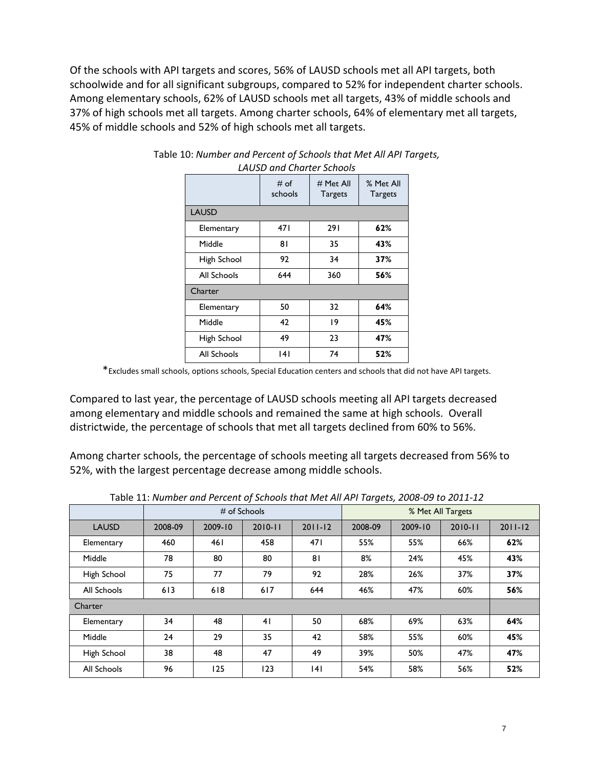Of the schools with API targets and scores, 56% of LAUSD schools met all API targets, both schoolwide and for all significant subgroups, compared to 52% for independent charter schools. Among elementary schools, 62% of LAUSD schools met all targets, 43% of middle schools and 37% of high schools met all targets. Among charter schools, 64% of elementary met all targets, 45% of middle schools and 52% of high schools met all targets.

|              | # of<br>schools | $#$ Met All<br><b>Targets</b> | % Met All<br><b>Targets</b> |
|--------------|-----------------|-------------------------------|-----------------------------|
| <b>LAUSD</b> |                 |                               |                             |
| Elementary   | 471             | 291                           | 62%                         |
| Middle       | 81              | 35                            | 43%                         |
| High School  | 92              | 34                            | 37%                         |
| All Schools  | 644             | 360                           | 56%                         |
| Charter      |                 |                               |                             |
| Elementary   | 50              | 32                            | 64%                         |
| Middle       | 42              | 19                            | 45%                         |
| High School  | 49              | 23                            | 47%                         |
| All Schools  | 141             | 74                            | 52%                         |

#### Table 10: *Number and Percent of Schools that Met All API Targets, LAUSD and Charter Schools*

\*Excludes small schools, options schools, Special Education centers and schools that did not have API targets.

Compared to last year, the percentage of LAUSD schools meeting all API targets decreased among elementary and middle schools and remained the same at high schools. Overall districtwide, the percentage of schools that met all targets declined from 60% to 56%.

Among charter schools, the percentage of schools meeting all targets decreased from 56% to 52%, with the largest percentage decrease among middle schools.

|              | $#$ of Schools |         |             |             | % Met All Targets |         |             |             |
|--------------|----------------|---------|-------------|-------------|-------------------|---------|-------------|-------------|
| <b>LAUSD</b> | 2008-09        | 2009-10 | $2010 - 11$ | $2011 - 12$ | 2008-09           | 2009-10 | $2010 - 11$ | $2011 - 12$ |
| Elementary   | 460            | 461     | 458         | 471         | 55%               | 55%     | 66%         | 62%         |
| Middle       | 78             | 80      | 80          | 81          | 8%                | 24%     | 45%         | 43%         |
| High School  | 75             | 77      | 79          | 92          | 28%               | 26%     | 37%         | 37%         |
| All Schools  | 613            | 618     | 617         | 644         | 46%               | 47%     | 60%         | 56%         |
| Charter      |                |         |             |             |                   |         |             |             |
| Elementary   | 34             | 48      | 41          | 50          | 68%               | 69%     | 63%         | 64%         |
| Middle       | 24             | 29      | 35          | 42          | 58%               | 55%     | 60%         | 45%         |
| High School  | 38             | 48      | 47          | 49          | 39%               | 50%     | 47%         | 47%         |
| All Schools  | 96             | 125     | 123         | 4           | 54%               | 58%     | 56%         | 52%         |

Table 11: *Number and Percent of Schools that Met All API Targets, 2008-09 to 2011-12*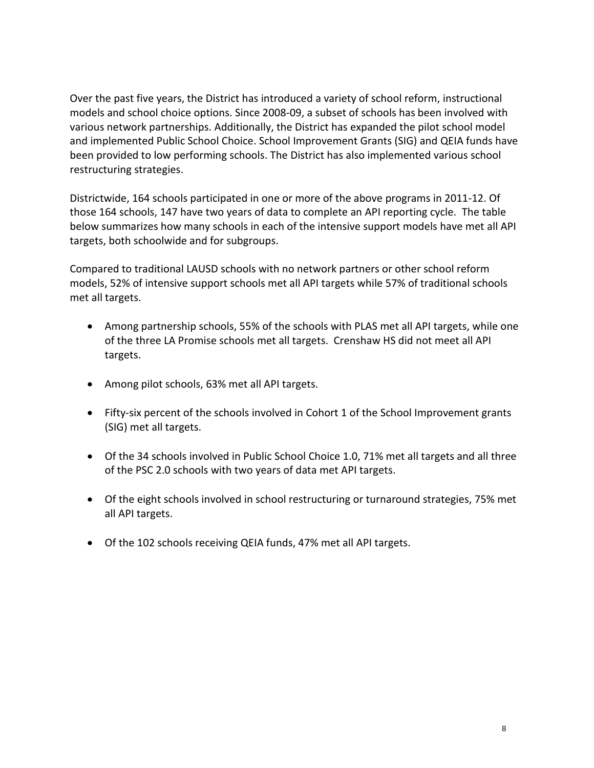Over the past five years, the District has introduced a variety of school reform, instructional models and school choice options. Since 2008-09, a subset of schools has been involved with various network partnerships. Additionally, the District has expanded the pilot school model and implemented Public School Choice. School Improvement Grants (SIG) and QEIA funds have been provided to low performing schools. The District has also implemented various school restructuring strategies.

Districtwide, 164 schools participated in one or more of the above programs in 2011-12. Of those 164 schools, 147 have two years of data to complete an API reporting cycle. The table below summarizes how many schools in each of the intensive support models have met all API targets, both schoolwide and for subgroups.

Compared to traditional LAUSD schools with no network partners or other school reform models, 52% of intensive support schools met all API targets while 57% of traditional schools met all targets.

- Among partnership schools, 55% of the schools with PLAS met all API targets, while one of the three LA Promise schools met all targets. Crenshaw HS did not meet all API targets.
- Among pilot schools, 63% met all API targets.
- Fifty-six percent of the schools involved in Cohort 1 of the School Improvement grants (SIG) met all targets.
- Of the 34 schools involved in Public School Choice 1.0, 71% met all targets and all three of the PSC 2.0 schools with two years of data met API targets.
- Of the eight schools involved in school restructuring or turnaround strategies, 75% met all API targets.
- Of the 102 schools receiving QEIA funds, 47% met all API targets.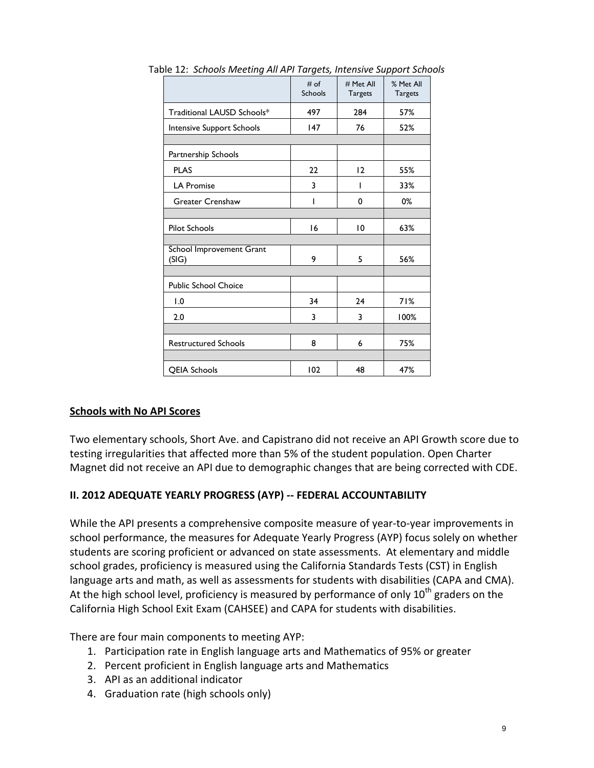|                                   | # of<br>Schools | # Met All<br><b>Targets</b> | % Met All<br><b>Targets</b> |
|-----------------------------------|-----------------|-----------------------------|-----------------------------|
| Traditional LAUSD Schools*        | 497             | 284                         | 57%                         |
| Intensive Support Schools         | 147             | 76                          | 52%                         |
|                                   |                 |                             |                             |
| Partnership Schools               |                 |                             |                             |
| <b>PLAS</b>                       | 22              | 12                          | 55%                         |
| <b>LA Promise</b>                 | 3               |                             | 33%                         |
| <b>Greater Crenshaw</b>           | ı               | 0                           | 0%                          |
|                                   |                 |                             |                             |
| <b>Pilot Schools</b>              | 16              | 10                          | 63%                         |
|                                   |                 |                             |                             |
| School Improvement Grant<br>(SIG) | 9               | 5                           | 56%                         |
|                                   |                 |                             |                             |
| <b>Public School Choice</b>       |                 |                             |                             |
| 1.0                               | 34              | 24                          | 71%                         |
| 2.0                               | 3               | 3                           | 100%                        |
|                                   |                 |                             |                             |
| <b>Restructured Schools</b>       | 8               | 6                           | 75%                         |
|                                   |                 |                             |                             |
| <b>QEIA Schools</b>               | 102             | 48                          | 47%                         |

Table 12: *Schools Meeting All API Targets, Intensive Support Schools* 

#### **Schools with No API Scores**

Two elementary schools, Short Ave. and Capistrano did not receive an API Growth score due to testing irregularities that affected more than 5% of the student population. Open Charter Magnet did not receive an API due to demographic changes that are being corrected with CDE.

## **II. 2012 ADEQUATE YEARLY PROGRESS (AYP) -- FEDERAL ACCOUNTABILITY**

While the API presents a comprehensive composite measure of year-to-year improvements in school performance, the measures for Adequate Yearly Progress (AYP) focus solely on whether students are scoring proficient or advanced on state assessments. At elementary and middle school grades, proficiency is measured using the California Standards Tests (CST) in English language arts and math, as well as assessments for students with disabilities (CAPA and CMA). At the high school level, proficiency is measured by performance of only  $10^{th}$  graders on the California High School Exit Exam (CAHSEE) and CAPA for students with disabilities.

There are four main components to meeting AYP:

- 1. Participation rate in English language arts and Mathematics of 95% or greater
- 2. Percent proficient in English language arts and Mathematics
- 3. API as an additional indicator
- 4. Graduation rate (high schools only)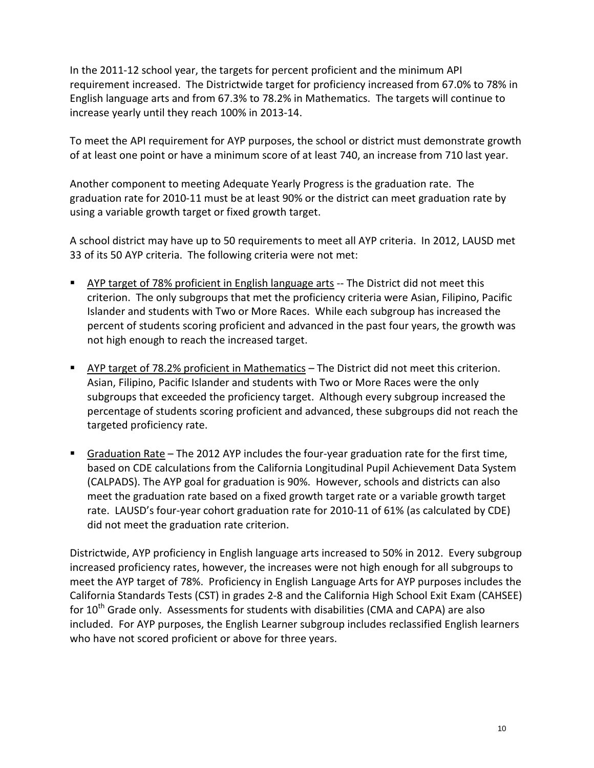In the 2011-12 school year, the targets for percent proficient and the minimum API requirement increased. The Districtwide target for proficiency increased from 67.0% to 78% in English language arts and from 67.3% to 78.2% in Mathematics. The targets will continue to increase yearly until they reach 100% in 2013-14.

To meet the API requirement for AYP purposes, the school or district must demonstrate growth of at least one point or have a minimum score of at least 740, an increase from 710 last year.

Another component to meeting Adequate Yearly Progress is the graduation rate. The graduation rate for 2010-11 must be at least 90% or the district can meet graduation rate by using a variable growth target or fixed growth target.

A school district may have up to 50 requirements to meet all AYP criteria. In 2012, LAUSD met 33 of its 50 AYP criteria. The following criteria were not met:

- AYP target of 78% proficient in English language arts -- The District did not meet this criterion. The only subgroups that met the proficiency criteria were Asian, Filipino, Pacific Islander and students with Two or More Races. While each subgroup has increased the percent of students scoring proficient and advanced in the past four years, the growth was not high enough to reach the increased target.
- AYP target of 78.2% proficient in Mathematics The District did not meet this criterion. Asian, Filipino, Pacific Islander and students with Two or More Races were the only subgroups that exceeded the proficiency target. Although every subgroup increased the percentage of students scoring proficient and advanced, these subgroups did not reach the targeted proficiency rate.
- Graduation Rate The 2012 AYP includes the four-year graduation rate for the first time, based on CDE calculations from the California Longitudinal Pupil Achievement Data System (CALPADS). The AYP goal for graduation is 90%. However, schools and districts can also meet the graduation rate based on a fixed growth target rate or a variable growth target rate. LAUSD's four-year cohort graduation rate for 2010-11 of 61% (as calculated by CDE) did not meet the graduation rate criterion.

Districtwide, AYP proficiency in English language arts increased to 50% in 2012. Every subgroup increased proficiency rates, however, the increases were not high enough for all subgroups to meet the AYP target of 78%. Proficiency in English Language Arts for AYP purposes includes the California Standards Tests (CST) in grades 2-8 and the California High School Exit Exam (CAHSEE) for  $10<sup>th</sup>$  Grade only. Assessments for students with disabilities (CMA and CAPA) are also included. For AYP purposes, the English Learner subgroup includes reclassified English learners who have not scored proficient or above for three years.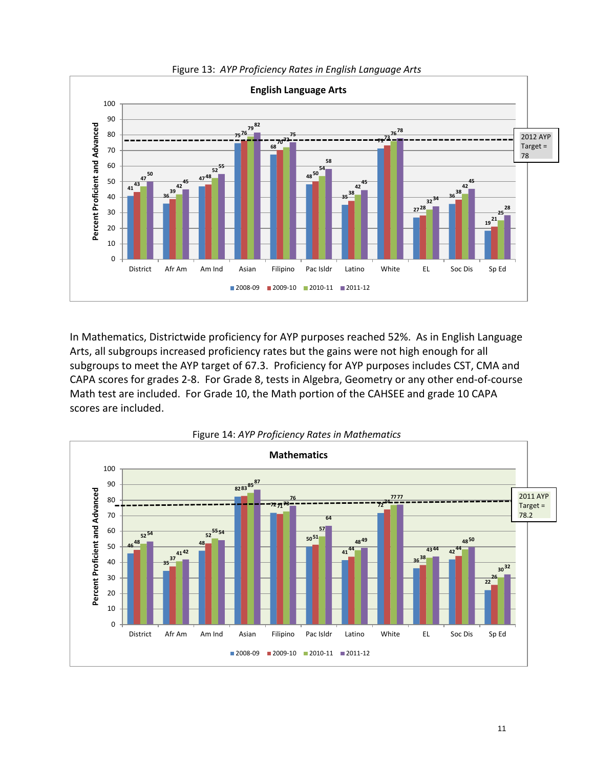

Figure 13: *AYP Proficiency Rates in English Language Arts* 

In Mathematics, Districtwide proficiency for AYP purposes reached 52%. As in English Language Arts, all subgroups increased proficiency rates but the gains were not high enough for all subgroups to meet the AYP target of 67.3. Proficiency for AYP purposes includes CST, CMA and CAPA scores for grades 2-8. For Grade 8, tests in Algebra, Geometry or any other end-of-course Math test are included. For Grade 10, the Math portion of the CAHSEE and grade 10 CAPA scores are included.

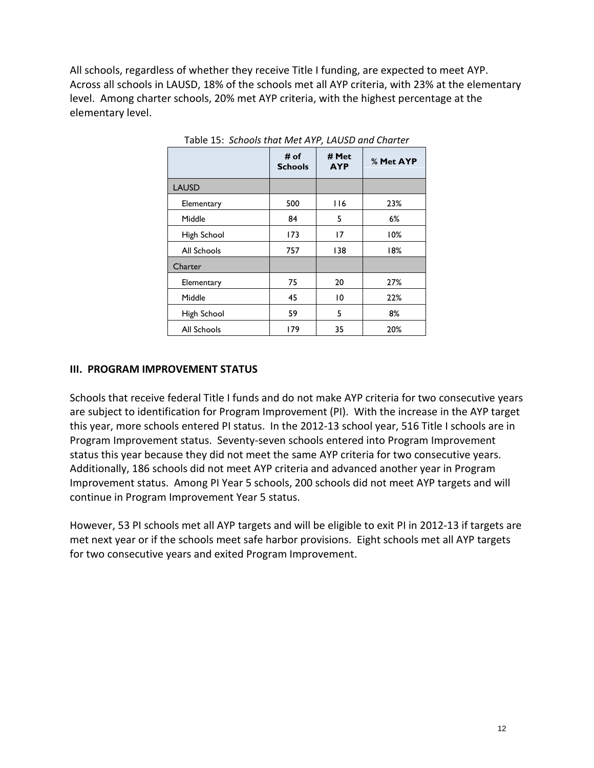All schools, regardless of whether they receive Title I funding, are expected to meet AYP. Across all schools in LAUSD, 18% of the schools met all AYP criteria, with 23% at the elementary level. Among charter schools, 20% met AYP criteria, with the highest percentage at the elementary level.

|              | # of<br><b>Schools</b> | # Met<br><b>AYP</b> | % Met AYP |
|--------------|------------------------|---------------------|-----------|
| <b>LAUSD</b> |                        |                     |           |
| Elementary   | 500                    | 116                 | 23%       |
| Middle       | 84                     | 5                   | 6%        |
| High School  | 173                    | 17                  | 10%       |
| All Schools  | 757                    | 138                 | 18%       |
| Charter      |                        |                     |           |
| Elementary   | 75                     | 20                  | 27%       |
| Middle       | 45                     | 10                  | 22%       |
| High School  | 59                     | 5                   | 8%        |
| All Schools  | 179                    | 35                  | 20%       |

Table 15: *Schools that Met AYP, LAUSD and Charter*

#### **III. PROGRAM IMPROVEMENT STATUS**

Schools that receive federal Title I funds and do not make AYP criteria for two consecutive years are subject to identification for Program Improvement (PI). With the increase in the AYP target this year, more schools entered PI status. In the 2012-13 school year, 516 Title I schools are in Program Improvement status. Seventy-seven schools entered into Program Improvement status this year because they did not meet the same AYP criteria for two consecutive years. Additionally, 186 schools did not meet AYP criteria and advanced another year in Program Improvement status. Among PI Year 5 schools, 200 schools did not meet AYP targets and will continue in Program Improvement Year 5 status.

However, 53 PI schools met all AYP targets and will be eligible to exit PI in 2012-13 if targets are met next year or if the schools meet safe harbor provisions. Eight schools met all AYP targets for two consecutive years and exited Program Improvement.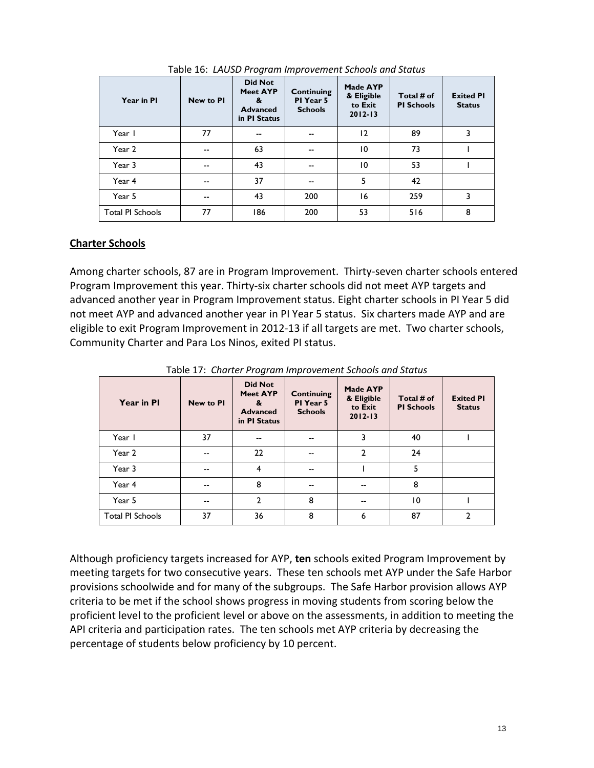| Year in PI              | <b>New to PI</b> | <b>Did Not</b><br><b>Meet AYP</b><br>&<br><b>Advanced</b><br>in PI Status | Continuing<br>PI Year 5<br><b>Schools</b> | Made AYP<br>& Eligible<br>to Exit<br>$2012 - 13$ | Total # of<br><b>PI Schools</b> | <b>Exited PI</b><br><b>Status</b> |
|-------------------------|------------------|---------------------------------------------------------------------------|-------------------------------------------|--------------------------------------------------|---------------------------------|-----------------------------------|
| Year I                  | 77               | $-$                                                                       | $- -$                                     | 12                                               | 89                              | 3                                 |
| Year 2                  | $-$              | 63                                                                        | $- -$                                     | 10                                               | 73                              |                                   |
| Year 3                  | $-$              | 43                                                                        | $- -$                                     | 10                                               | 53                              |                                   |
| Year 4                  | --               | 37                                                                        | $-$                                       | 5                                                | 42                              |                                   |
| Year 5                  | $-$              | 43                                                                        | 200                                       | 16                                               | 259                             | 3                                 |
| <b>Total PI Schools</b> | 77               | 186                                                                       | 200                                       | 53                                               | 516                             | 8                                 |

Table 16: *LAUSD Program Improvement Schools and Status*

## **Charter Schools**

Among charter schools, 87 are in Program Improvement. Thirty-seven charter schools entered Program Improvement this year. Thirty-six charter schools did not meet AYP targets and advanced another year in Program Improvement status. Eight charter schools in PI Year 5 did not meet AYP and advanced another year in PI Year 5 status. Six charters made AYP and are eligible to exit Program Improvement in 2012-13 if all targets are met. Two charter schools, Community Charter and Para Los Ninos, exited PI status.

| Year in PI              | <b>New to PI</b> | <b>Did Not</b><br><b>Meet AYP</b><br>&<br><b>Advanced</b><br>in PI Status | <b>Continuing</b><br>PI Year 5<br><b>Schools</b> | Made AYP<br>& Eligible<br>to Exit<br>$2012 - 13$ | Total # of<br><b>PI Schools</b> | <b>Exited PI</b><br><b>Status</b> |
|-------------------------|------------------|---------------------------------------------------------------------------|--------------------------------------------------|--------------------------------------------------|---------------------------------|-----------------------------------|
| Year I                  | 37               | $-$                                                                       | $- -$                                            | 3                                                | 40                              |                                   |
| Year 2                  | --               | 22                                                                        | --                                               | $\overline{2}$                                   | 24                              |                                   |
| Year 3                  | --               | $\overline{\mathbf{4}}$                                                   | --                                               |                                                  | 5                               |                                   |
| Year 4                  | --               | 8                                                                         | --                                               | --                                               | 8                               |                                   |
| Year 5                  | --               | $\mathfrak{p}$                                                            | 8                                                | --                                               | 10                              |                                   |
| <b>Total PI Schools</b> | 37               | 36                                                                        | 8                                                | 6                                                | 87                              | $\overline{2}$                    |

Table 17: *Charter Program Improvement Schools and Status*

Although proficiency targets increased for AYP, **ten** schools exited Program Improvement by meeting targets for two consecutive years. These ten schools met AYP under the Safe Harbor provisions schoolwide and for many of the subgroups. The Safe Harbor provision allows AYP criteria to be met if the school shows progress in moving students from scoring below the proficient level to the proficient level or above on the assessments, in addition to meeting the API criteria and participation rates. The ten schools met AYP criteria by decreasing the percentage of students below proficiency by 10 percent.